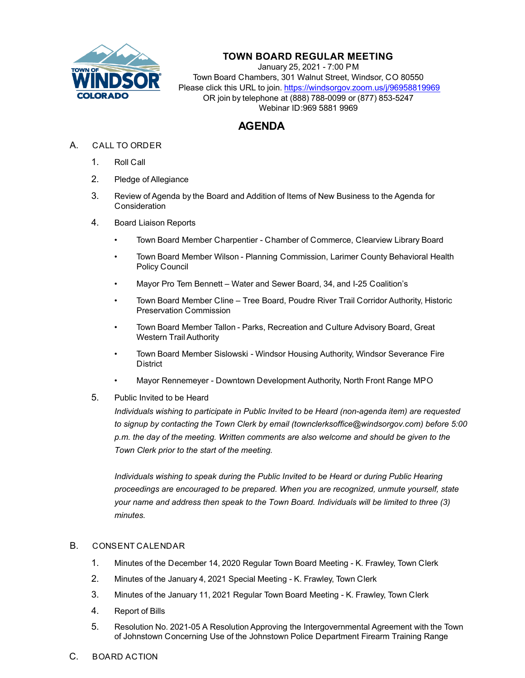

## **TOWN BOARD REGULAR MEETING**

January 25, 2021 - 7:00 PM Town Board Chambers, 301 Walnut Street, Windsor, CO 80550 Please click this URL to join. https://windsorgov.zoom.us/j/96958819969 OR join by telephone at (888) 788-0099 or (877) 853-5247 Webinar ID:969 5881 9969

## **AGENDA**

- A. CALL TO ORDER
	- 1. Roll Call
	- 2. Pledge of Allegiance
	- 3. Review of Agenda by the Board and Addition of Items of New Business to the Agenda for **Consideration**
	- 4. Board Liaison Reports
		- Town Board Member Charpentier Chamber of Commerce, Clearview Library Board
		- Town Board Member Wilson Planning Commission, Larimer County Behavioral Health Policy Council
		- Mayor Pro Tem Bennett Water and Sewer Board, 34, and I-25 Coalition's
		- Town Board Member Cline Tree Board, Poudre River Trail Corridor Authority, Historic Preservation Commission
		- Town Board Member Tallon Parks, Recreation and Culture Advisory Board, Great Western Trail Authority
		- Town Board Member Sislowski Windsor Housing Authority, Windsor Severance Fire District
		- Mayor Rennemeyer Downtown Development Authority, North Front Range MPO
	- 5. Public Invited to be Heard

*Individuals wishing to participate in Public Invited to be Heard (non-agenda item) are requested to signup by contacting the Town Clerk by email (townclerksoffice@windsorgov.com) before 5:00 p.m. the day of the meeting. Written comments are also welcome and should be given to the Town Clerk prior to the start of the meeting.*

*Individuals wishing to speak during the Public Invited to be Heard or during Public Hearing proceedings are encouraged to be prepared. When you are recognized, unmute yourself, state your name and address then speak to the Town Board. Individuals will be limited to three (3) minutes.*

## B. CONSENT CALENDAR

- 1. [Minutes of the December 14, 2020 Regular Town Board Meeting K. Frawley, Town Clerk](file:///C:/Windows/TEMP/CoverSheet.aspx?ItemID=1207&MeetingID=263)
- 2. [Minutes of the January 4, 2021 Special Meeting K. Frawley, Town Clerk](file:///C:/Windows/TEMP/CoverSheet.aspx?ItemID=1228&MeetingID=263)
- 3. [Minutes of the January 11, 2021 Regular Town Board Meeting K. Frawley, Town Clerk](file:///C:/Windows/TEMP/CoverSheet.aspx?ItemID=1229&MeetingID=263)
- 4. [Report of Bills](file:///C:/Windows/TEMP/CoverSheet.aspx?ItemID=1226&MeetingID=263)
- 5. Resolution No. 2021-05 A Resolution Approving the Intergovernmental Agreement with the Town of Johnstown Concerning Use of the Johnstown Police Department Firearm Training Range
- C. BOARD ACTION